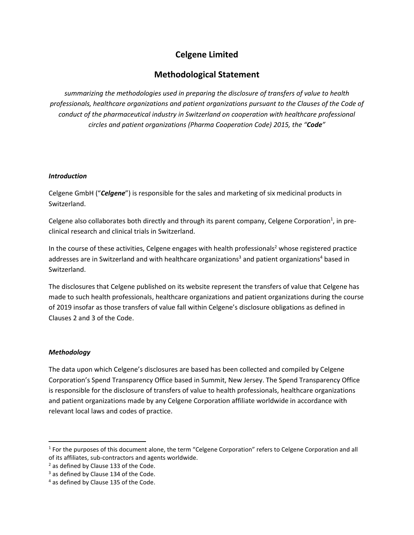# **Celgene Limited**

# **Methodological Statement**

*summarizing the methodologies used in preparing the disclosure of transfers of value to health professionals, healthcare organizations and patient organizations pursuant to the Clauses of the Code of conduct of the pharmaceutical industry in Switzerland on cooperation with healthcare professional circles and patient organizations (Pharma Cooperation Code) 2015, the "Code"*

# *Introduction*

Celgene GmbH ("*Celgene*") is responsible for the sales and marketing of six medicinal products in Switzerland.

Celgene also collaborates both directly and through its parent company, Celgene Corporation<sup>1</sup>, in preclinical research and clinical trials in Switzerland.

In the course of these activities, Celgene engages with health professionals<sup>2</sup> whose registered practice addresses are in Switzerland and with healthcare organizations<sup>3</sup> and patient organizations<sup>4</sup> based in Switzerland.

The disclosures that Celgene published on its website represent the transfers of value that Celgene has made to such health professionals, healthcare organizations and patient organizations during the course of 2019 insofar as those transfers of value fall within Celgene's disclosure obligations as defined in Clauses 2 and 3 of the Code.

# *Methodology*

The data upon which Celgene's disclosures are based has been collected and compiled by Celgene Corporation's Spend Transparency Office based in Summit, New Jersey. The Spend Transparency Office is responsible for the disclosure of transfers of value to health professionals, healthcare organizations and patient organizations made by any Celgene Corporation affiliate worldwide in accordance with relevant local laws and codes of practice.

<sup>&</sup>lt;sup>1</sup> For the purposes of this document alone, the term "Celgene Corporation" refers to Celgene Corporation and all of its affiliates, sub-contractors and agents worldwide.

<sup>&</sup>lt;sup>2</sup> as defined by Clause 133 of the Code.

 $3$  as defined by Clause 134 of the Code.

<sup>4</sup> as defined by Clause 135 of the Code.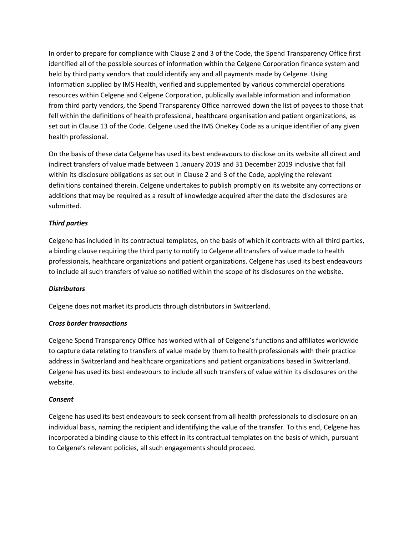In order to prepare for compliance with Clause 2 and 3 of the Code, the Spend Transparency Office first identified all of the possible sources of information within the Celgene Corporation finance system and held by third party vendors that could identify any and all payments made by Celgene. Using information supplied by IMS Health, verified and supplemented by various commercial operations resources within Celgene and Celgene Corporation, publically available information and information from third party vendors, the Spend Transparency Office narrowed down the list of payees to those that fell within the definitions of health professional, healthcare organisation and patient organizations, as set out in Clause 13 of the Code. Celgene used the IMS OneKey Code as a unique identifier of any given health professional.

On the basis of these data Celgene has used its best endeavours to disclose on its website all direct and indirect transfers of value made between 1 January 2019 and 31 December 2019 inclusive that fall within its disclosure obligations as set out in Clause 2 and 3 of the Code, applying the relevant definitions contained therein. Celgene undertakes to publish promptly on its website any corrections or additions that may be required as a result of knowledge acquired after the date the disclosures are submitted.

# *Third parties*

Celgene has included in its contractual templates, on the basis of which it contracts with all third parties, a binding clause requiring the third party to notify to Celgene all transfers of value made to health professionals, healthcare organizations and patient organizations. Celgene has used its best endeavours to include all such transfers of value so notified within the scope of its disclosures on the website.

#### *Distributors*

Celgene does not market its products through distributors in Switzerland.

#### *Cross border transactions*

Celgene Spend Transparency Office has worked with all of Celgene's functions and affiliates worldwide to capture data relating to transfers of value made by them to health professionals with their practice address in Switzerland and healthcare organizations and patient organizations based in Switzerland. Celgene has used its best endeavours to include all such transfers of value within its disclosures on the website.

#### *Consent*

Celgene has used its best endeavours to seek consent from all health professionals to disclosure on an individual basis, naming the recipient and identifying the value of the transfer. To this end, Celgene has incorporated a binding clause to this effect in its contractual templates on the basis of which, pursuant to Celgene's relevant policies, all such engagements should proceed.